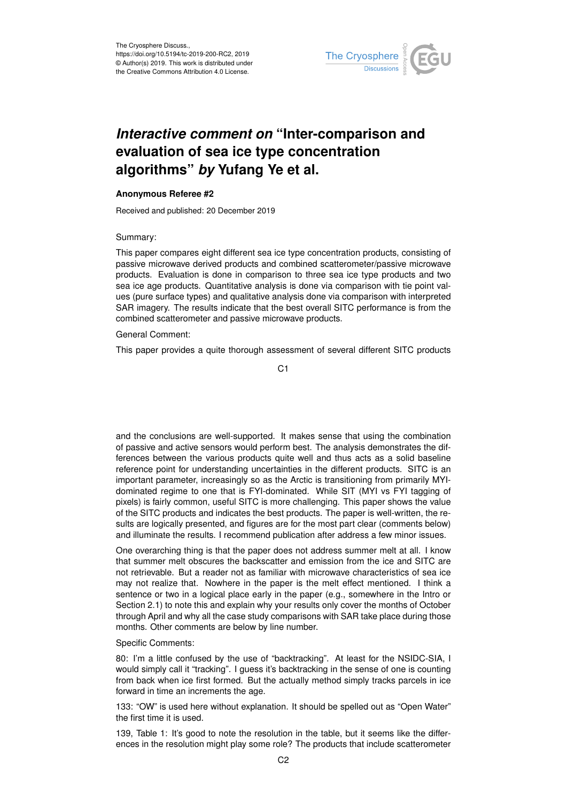

# *Interactive comment on* **"Inter-comparison and evaluation of sea ice type concentration algorithms"** *by* **Yufang Ye et al.**

## **Anonymous Referee #2**

Received and published: 20 December 2019

## Summary:

This paper compares eight different sea ice type concentration products, consisting of passive microwave derived products and combined scatterometer/passive microwave products. Evaluation is done in comparison to three sea ice type products and two sea ice age products. Quantitative analysis is done via comparison with tie point values (pure surface types) and qualitative analysis done via comparison with interpreted SAR imagery. The results indicate that the best overall SITC performance is from the combined scatterometer and passive microwave products.

#### General Comment:

This paper provides a quite thorough assessment of several different SITC products

 $C<sub>1</sub>$ 

and the conclusions are well-supported. It makes sense that using the combination of passive and active sensors would perform best. The analysis demonstrates the differences between the various products quite well and thus acts as a solid baseline reference point for understanding uncertainties in the different products. SITC is an important parameter, increasingly so as the Arctic is transitioning from primarily MYIdominated regime to one that is FYI-dominated. While SIT (MYI vs FYI tagging of pixels) is fairly common, useful SITC is more challenging. This paper shows the value of the SITC products and indicates the best products. The paper is well-written, the results are logically presented, and figures are for the most part clear (comments below) and illuminate the results. I recommend publication after address a few minor issues.

One overarching thing is that the paper does not address summer melt at all. I know that summer melt obscures the backscatter and emission from the ice and SITC are not retrievable. But a reader not as familiar with microwave characteristics of sea ice may not realize that. Nowhere in the paper is the melt effect mentioned. I think a sentence or two in a logical place early in the paper (e.g., somewhere in the Intro or Section 2.1) to note this and explain why your results only cover the months of October through April and why all the case study comparisons with SAR take place during those months. Other comments are below by line number.

### Specific Comments:

80: I'm a little confused by the use of "backtracking". At least for the NSIDC-SIA, I would simply call it "tracking". I guess it's backtracking in the sense of one is counting from back when ice first formed. But the actually method simply tracks parcels in ice forward in time an increments the age.

133: "OW" is used here without explanation. It should be spelled out as "Open Water" the first time it is used.

139, Table 1: It's good to note the resolution in the table, but it seems like the differences in the resolution might play some role? The products that include scatterometer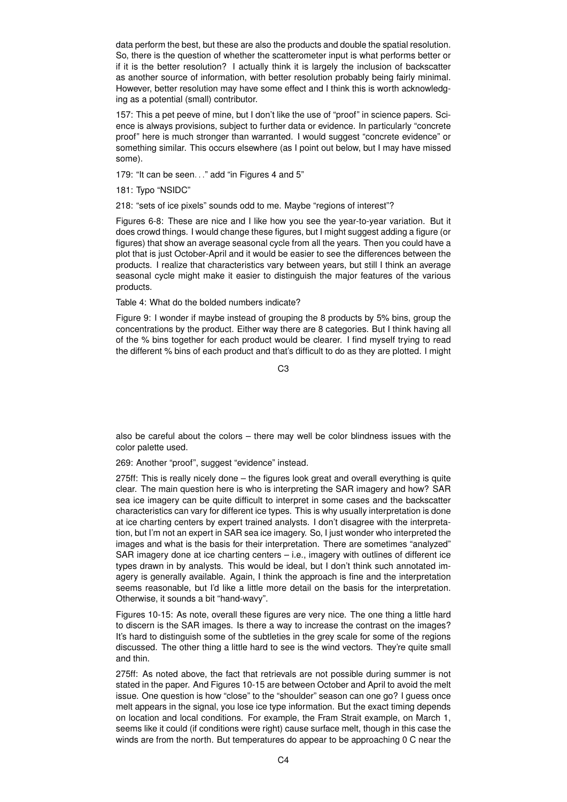data perform the best, but these are also the products and double the spatial resolution. So, there is the question of whether the scatterometer input is what performs better or if it is the better resolution? I actually think it is largely the inclusion of backscatter as another source of information, with better resolution probably being fairly minimal. However, better resolution may have some effect and I think this is worth acknowledging as a potential (small) contributor.

157: This a pet peeve of mine, but I don't like the use of "proof" in science papers. Science is always provisions, subject to further data or evidence. In particularly "concrete proof" here is much stronger than warranted. I would suggest "concrete evidence" or something similar. This occurs elsewhere (as I point out below, but I may have missed some).

179: "It can be seen. . ." add "in Figures 4 and 5"

181: Typo "NSIDC"

218: "sets of ice pixels" sounds odd to me. Maybe "regions of interest"?

Figures 6-8: These are nice and I like how you see the year-to-year variation. But it does crowd things. I would change these figures, but I might suggest adding a figure (or figures) that show an average seasonal cycle from all the years. Then you could have a plot that is just October-April and it would be easier to see the differences between the products. I realize that characteristics vary between years, but still I think an average seasonal cycle might make it easier to distinguish the major features of the various products.

Table 4: What do the bolded numbers indicate?

Figure 9: I wonder if maybe instead of grouping the 8 products by 5% bins, group the concentrations by the product. Either way there are 8 categories. But I think having all of the % bins together for each product would be clearer. I find myself trying to read the different % bins of each product and that's difficult to do as they are plotted. I might

C3

also be careful about the colors – there may well be color blindness issues with the color palette used.

269: Another "proof", suggest "evidence" instead.

275ff: This is really nicely done – the figures look great and overall everything is quite clear. The main question here is who is interpreting the SAR imagery and how? SAR sea ice imagery can be quite difficult to interpret in some cases and the backscatter characteristics can vary for different ice types. This is why usually interpretation is done at ice charting centers by expert trained analysts. I don't disagree with the interpretation, but I'm not an expert in SAR sea ice imagery. So, I just wonder who interpreted the images and what is the basis for their interpretation. There are sometimes "analyzed" SAR imagery done at ice charting centers – i.e., imagery with outlines of different ice types drawn in by analysts. This would be ideal, but I don't think such annotated imagery is generally available. Again, I think the approach is fine and the interpretation seems reasonable, but I'd like a little more detail on the basis for the interpretation. Otherwise, it sounds a bit "hand-wavy".

Figures 10-15: As note, overall these figures are very nice. The one thing a little hard to discern is the SAR images. Is there a way to increase the contrast on the images? It's hard to distinguish some of the subtleties in the grey scale for some of the regions discussed. The other thing a little hard to see is the wind vectors. They're quite small and thin.

275ff: As noted above, the fact that retrievals are not possible during summer is not stated in the paper. And Figures 10-15 are between October and April to avoid the melt issue. One question is how "close" to the "shoulder" season can one go? I guess once melt appears in the signal, you lose ice type information. But the exact timing depends on location and local conditions. For example, the Fram Strait example, on March 1, seems like it could (if conditions were right) cause surface melt, though in this case the winds are from the north. But temperatures do appear to be approaching 0 C near the